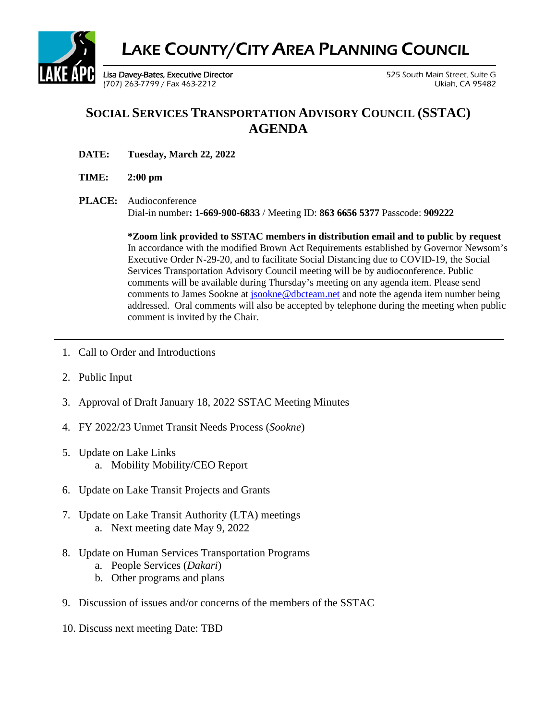

## **SOCIAL SERVICES TRANSPORTATION ADVISORY COUNCIL (SSTAC) AGENDA**

**DATE: Tuesday, March 22, 2022**

#### **TIME: 2:00 pm**

**PLACE:** Audioconference Dial-in number**: 1-669-900-6833** / Meeting ID: **863 6656 5377** Passcode: **909222**

> **\*Zoom link provided to SSTAC members in distribution email and to public by request** In accordance with the modified Brown Act Requirements established by Governor Newsom's Executive Order N-29-20, and to facilitate Social Distancing due to COVID-19, the Social Services Transportation Advisory Council meeting will be by audioconference. Public comments will be available during Thursday's meeting on any agenda item. Please send comments to James Sookne a[t jsookne@dbcteam.net](mailto:jsookne@dbcteam.net) and note the agenda item number being addressed. Oral comments will also be accepted by telephone during the meeting when public comment is invited by the Chair.

- 1. Call to Order and Introductions
- 2. Public Input
- 3. Approval of Draft January 18, 2022 SSTAC Meeting Minutes
- 4. FY 2022/23 Unmet Transit Needs Process (*Sookne*)
- 5. Update on Lake Links a. Mobility Mobility/CEO Report
- 6. Update on Lake Transit Projects and Grants
- 7. Update on Lake Transit Authority (LTA) meetings a. Next meeting date May 9, 2022
- 8. Update on Human Services Transportation Programs
	- a. People Services (*Dakari*)
	- b. Other programs and plans
- 9. Discussion of issues and/or concerns of the members of the SSTAC
- 10. Discuss next meeting Date: TBD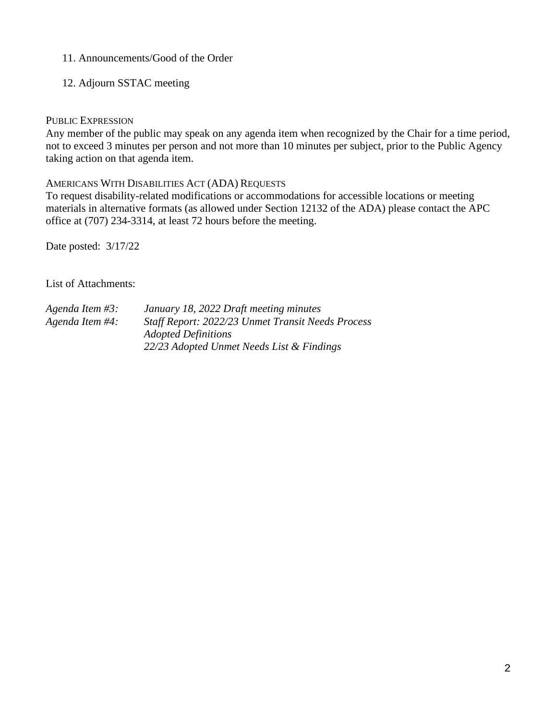#### 11. Announcements/Good of the Order

12. Adjourn SSTAC meeting

#### PUBLIC EXPRESSION

Any member of the public may speak on any agenda item when recognized by the Chair for a time period, not to exceed 3 minutes per person and not more than 10 minutes per subject, prior to the Public Agency taking action on that agenda item.

#### AMERICANS WITH DISABILITIES ACT (ADA) REQUESTS

To request disability-related modifications or accommodations for accessible locations or meeting materials in alternative formats (as allowed under Section 12132 of the ADA) please contact the APC office at (707) 234-3314, at least 72 hours before the meeting.

Date posted: 3/17/22

List of Attachments:

| Agenda Item #3: | January 18, 2022 Draft meeting minutes            |
|-----------------|---------------------------------------------------|
| Agenda Item #4: | Staff Report: 2022/23 Unmet Transit Needs Process |
|                 | <b>Adopted Definitions</b>                        |
|                 | 22/23 Adopted Unmet Needs List & Findings         |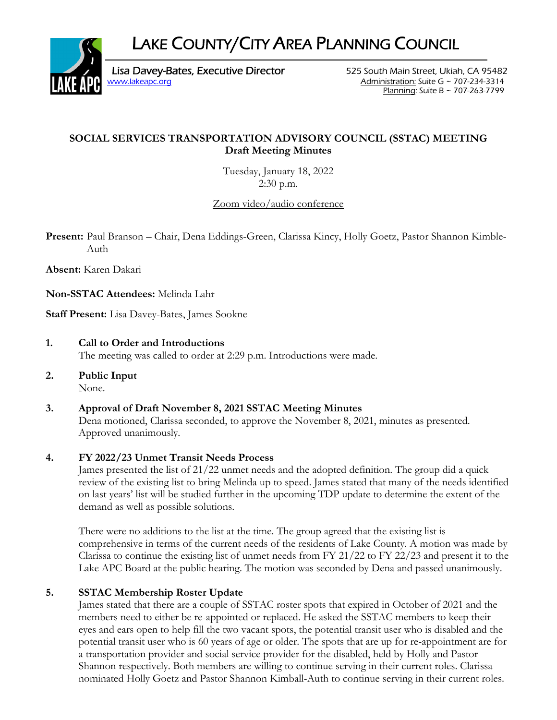LAKE COUNTY/CITY AREA PLANNING COUNCIL



Lisa Davey-Bates, Executive Director 525 South Main Street, Ukiah, CA 95482 www.lakeapc.org Administration: Suite G ~ 707-234-3314

Planning: Suite B ~ 707-263-7799

## **SOCIAL SERVICES TRANSPORTATION ADVISORY COUNCIL (SSTAC) MEETING Draft Meeting Minutes**

Tuesday, January 18, 2022 2:30 p.m.

Zoom video/audio conference

**Present:** Paul Branson – Chair, Dena Eddings-Green, Clarissa Kincy, Holly Goetz, Pastor Shannon Kimble-Auth

**Absent:** Karen Dakari

**Non-SSTAC Attendees:** Melinda Lahr

**Staff Present:** Lisa Davey-Bates, James Sookne

- **1. Call to Order and Introductions** The meeting was called to order at 2:29 p.m. Introductions were made.
- **2. Public Input**  None.

#### **3. Approval of Draft November 8, 2021 SSTAC Meeting Minutes**  Dena motioned, Clarissa seconded, to approve the November 8, 2021, minutes as presented. Approved unanimously.

## **4. FY 2022/23 Unmet Transit Needs Process**

James presented the list of 21/22 unmet needs and the adopted definition. The group did a quick review of the existing list to bring Melinda up to speed. James stated that many of the needs identified on last years' list will be studied further in the upcoming TDP update to determine the extent of the demand as well as possible solutions.

There were no additions to the list at the time. The group agreed that the existing list is comprehensive in terms of the current needs of the residents of Lake County. A motion was made by Clarissa to continue the existing list of unmet needs from FY 21/22 to FY 22/23 and present it to the Lake APC Board at the public hearing. The motion was seconded by Dena and passed unanimously.

## **5. SSTAC Membership Roster Update**

James stated that there are a couple of SSTAC roster spots that expired in October of 2021 and the members need to either be re-appointed or replaced. He asked the SSTAC members to keep their eyes and ears open to help fill the two vacant spots, the potential transit user who is disabled and the potential transit user who is 60 years of age or older. The spots that are up for re-appointment are for a transportation provider and social service provider for the disabled, held by Holly and Pastor Shannon respectively. Both members are willing to continue serving in their current roles. Clarissa nominated Holly Goetz and Pastor Shannon Kimball-Auth to continue serving in their current roles.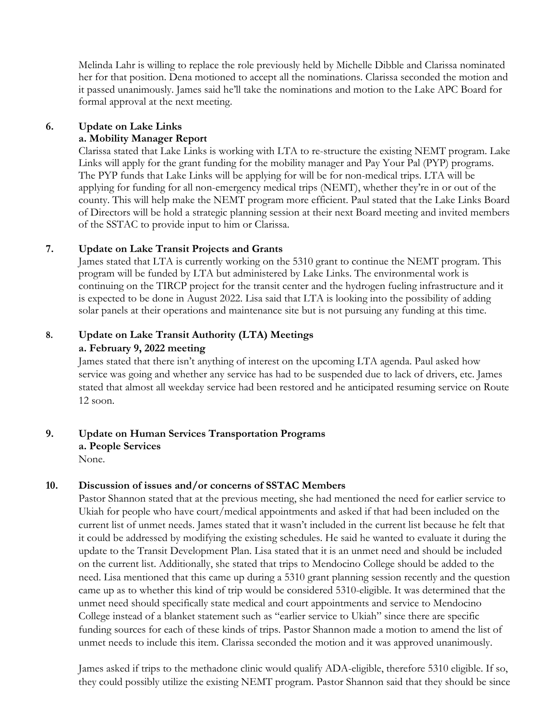Melinda Lahr is willing to replace the role previously held by Michelle Dibble and Clarissa nominated her for that position. Dena motioned to accept all the nominations. Clarissa seconded the motion and it passed unanimously. James said he'll take the nominations and motion to the Lake APC Board for formal approval at the next meeting.

#### **6. Update on Lake Links a. Mobility Manager Report**

Clarissa stated that Lake Links is working with LTA to re-structure the existing NEMT program. Lake Links will apply for the grant funding for the mobility manager and Pay Your Pal (PYP) programs. The PYP funds that Lake Links will be applying for will be for non-medical trips. LTA will be applying for funding for all non-emergency medical trips (NEMT), whether they're in or out of the county. This will help make the NEMT program more efficient. Paul stated that the Lake Links Board of Directors will be hold a strategic planning session at their next Board meeting and invited members of the SSTAC to provide input to him or Clarissa.

#### **7. Update on Lake Transit Projects and Grants**

James stated that LTA is currently working on the 5310 grant to continue the NEMT program. This program will be funded by LTA but administered by Lake Links. The environmental work is continuing on the TIRCP project for the transit center and the hydrogen fueling infrastructure and it is expected to be done in August 2022. Lisa said that LTA is looking into the possibility of adding solar panels at their operations and maintenance site but is not pursuing any funding at this time.

## **8. Update on Lake Transit Authority (LTA) Meetings a. February 9, 2022 meeting**

James stated that there isn't anything of interest on the upcoming LTA agenda. Paul asked how service was going and whether any service has had to be suspended due to lack of drivers, etc. James stated that almost all weekday service had been restored and he anticipated resuming service on Route 12 soon.

## **9. Update on Human Services Transportation Programs**

 **a. People Services** 

None.

## **10. Discussion of issues and/or concerns of SSTAC Members**

Pastor Shannon stated that at the previous meeting, she had mentioned the need for earlier service to Ukiah for people who have court/medical appointments and asked if that had been included on the current list of unmet needs. James stated that it wasn't included in the current list because he felt that it could be addressed by modifying the existing schedules. He said he wanted to evaluate it during the update to the Transit Development Plan. Lisa stated that it is an unmet need and should be included on the current list. Additionally, she stated that trips to Mendocino College should be added to the need. Lisa mentioned that this came up during a 5310 grant planning session recently and the question came up as to whether this kind of trip would be considered 5310-eligible. It was determined that the unmet need should specifically state medical and court appointments and service to Mendocino College instead of a blanket statement such as "earlier service to Ukiah" since there are specific funding sources for each of these kinds of trips. Pastor Shannon made a motion to amend the list of unmet needs to include this item. Clarissa seconded the motion and it was approved unanimously.

James asked if trips to the methadone clinic would qualify ADA-eligible, therefore 5310 eligible. If so, they could possibly utilize the existing NEMT program. Pastor Shannon said that they should be since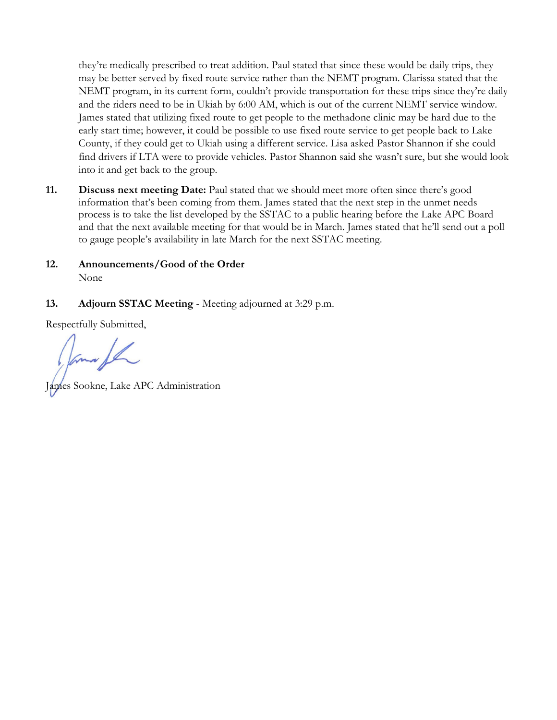they're medically prescribed to treat addition. Paul stated that since these would be daily trips, they may be better served by fixed route service rather than the NEMT program. Clarissa stated that the NEMT program, in its current form, couldn't provide transportation for these trips since they're daily and the riders need to be in Ukiah by 6:00 AM, which is out of the current NEMT service window. James stated that utilizing fixed route to get people to the methadone clinic may be hard due to the early start time; however, it could be possible to use fixed route service to get people back to Lake County, if they could get to Ukiah using a different service. Lisa asked Pastor Shannon if she could find drivers if LTA were to provide vehicles. Pastor Shannon said she wasn't sure, but she would look into it and get back to the group.

- **11. Discuss next meeting Date:** Paul stated that we should meet more often since there's good information that's been coming from them. James stated that the next step in the unmet needs process is to take the list developed by the SSTAC to a public hearing before the Lake APC Board and that the next available meeting for that would be in March. James stated that he'll send out a poll to gauge people's availability in late March for the next SSTAC meeting.
- **12. Announcements/Good of the Order**  None
- **13. Adjourn SSTAC Meeting** Meeting adjourned at 3:29 p.m.

Respectfully Submitted,

les Sookne, Lake APC Administration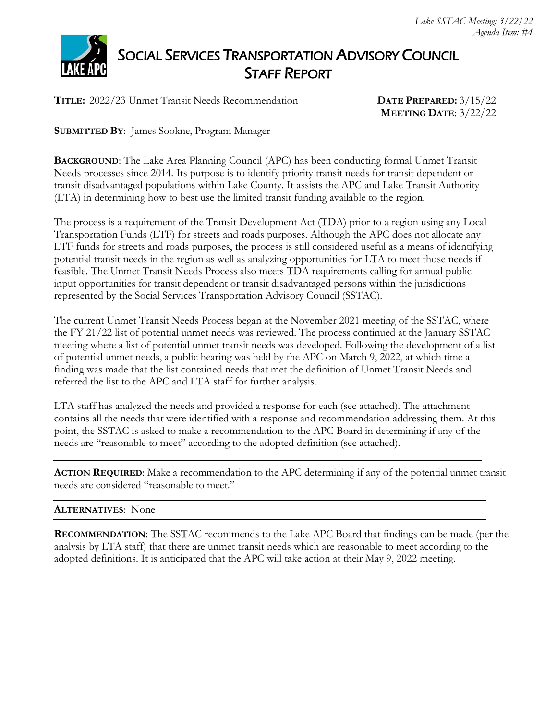



## SOCIAL SERVICES TRANSPORTATION ADVISORY COUNCIL STAFF REPORT

**TITLE:** 2022/23 Unmet Transit Needs Recommendation **DATE PREPARED:** 3/15/22

**MEETING DATE**: 3/22/22

**SUBMITTED BY**: James Sookne, Program Manager

**BACKGROUND**: The Lake Area Planning Council (APC) has been conducting formal Unmet Transit Needs processes since 2014. Its purpose is to identify priority transit needs for transit dependent or transit disadvantaged populations within Lake County. It assists the APC and Lake Transit Authority (LTA) in determining how to best use the limited transit funding available to the region.

The process is a requirement of the Transit Development Act (TDA) prior to a region using any Local Transportation Funds (LTF) for streets and roads purposes. Although the APC does not allocate any LTF funds for streets and roads purposes, the process is still considered useful as a means of identifying potential transit needs in the region as well as analyzing opportunities for LTA to meet those needs if feasible. The Unmet Transit Needs Process also meets TDA requirements calling for annual public input opportunities for transit dependent or transit disadvantaged persons within the jurisdictions represented by the Social Services Transportation Advisory Council (SSTAC).

The current Unmet Transit Needs Process began at the November 2021 meeting of the SSTAC, where the FY 21/22 list of potential unmet needs was reviewed. The process continued at the January SSTAC meeting where a list of potential unmet transit needs was developed. Following the development of a list of potential unmet needs, a public hearing was held by the APC on March 9, 2022, at which time a finding was made that the list contained needs that met the definition of Unmet Transit Needs and referred the list to the APC and LTA staff for further analysis.

LTA staff has analyzed the needs and provided a response for each (see attached). The attachment contains all the needs that were identified with a response and recommendation addressing them. At this point, the SSTAC is asked to make a recommendation to the APC Board in determining if any of the needs are "reasonable to meet" according to the adopted definition (see attached).

**ACTION REQUIRED**: Make a recommendation to the APC determining if any of the potential unmet transit needs are considered "reasonable to meet."

#### **ALTERNATIVES**: None

**RECOMMENDATION**: The SSTAC recommends to the Lake APC Board that findings can be made (per the analysis by LTA staff) that there are unmet transit needs which are reasonable to meet according to the adopted definitions. It is anticipated that the APC will take action at their May 9, 2022 meeting.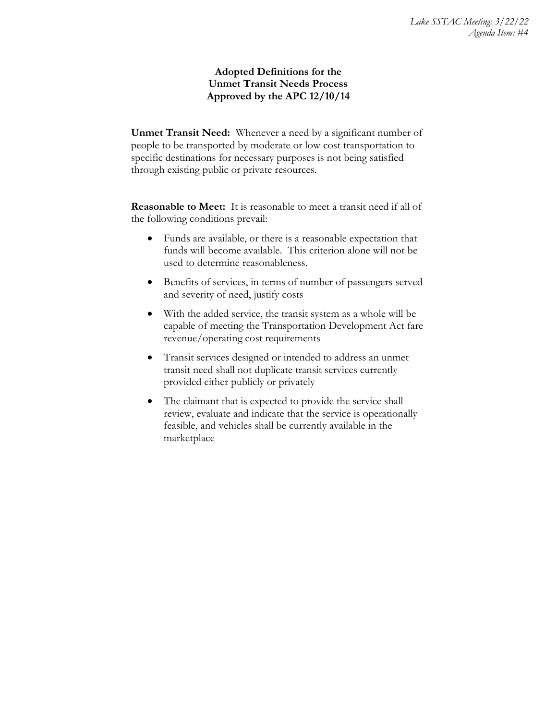#### **Adopted Definitions for the Unmet Transit Needs Process Approved by the APC 12/10/14**

**Unmet Transit Need:** Whenever a need by a significant number of people to be transported by moderate or low cost transportation to specific destinations for necessary purposes is not being satisfied through existing public or private resources.

**Reasonable to Meet:** It is reasonable to meet a transit need if all of the following conditions prevail:

- Funds are available, or there is a reasonable expectation that funds will become available. This criterion alone will not be used to determine reasonableness.
- Benefits of services, in terms of number of passengers served and severity of need, justify costs
- With the added service, the transit system as a whole will be capable of meeting the Transportation Development Act fare revenue/operating cost requirements
- Transit services designed or intended to address an unmet transit need shall not duplicate transit services currently provided either publicly or privately
- The claimant that is expected to provide the service shall review, evaluate and indicate that the service is operationally feasible, and vehicles shall be currently available in the marketplace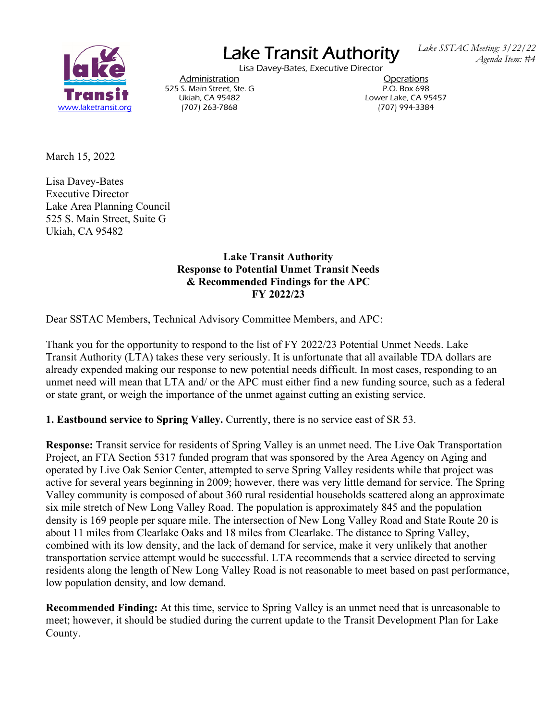

# Lake Transit Authority

Lisa Davey-Bates, Executive Director

 *Lake SSTAC Meeting: 3/22/22 Agenda Item: #4* 

Post Administration<br>
S. Main Street, Ste. G<br>
S. Main Street, Ste. G 525 S. Main Street, Ste. G

Ukiah, CA 95482 Lower Lake, CA 95457

March 15, 2022

Lisa Davey-Bates Executive Director Lake Area Planning Council 525 S. Main Street, Suite G Ukiah, CA 95482

> **Lake Transit Authority Response to Potential Unmet Transit Needs & Recommended Findings for the APC FY 2022/23**

Dear SSTAC Members, Technical Advisory Committee Members, and APC:

Thank you for the opportunity to respond to the list of FY 2022/23 Potential Unmet Needs. Lake Transit Authority (LTA) takes these very seriously. It is unfortunate that all available TDA dollars are already expended making our response to new potential needs difficult. In most cases, responding to an unmet need will mean that LTA and/ or the APC must either find a new funding source, such as a federal or state grant, or weigh the importance of the unmet against cutting an existing service.

**1. Eastbound service to Spring Valley.** Currently, there is no service east of SR 53.

**Response:** Transit service for residents of Spring Valley is an unmet need. The Live Oak Transportation Project, an FTA Section 5317 funded program that was sponsored by the Area Agency on Aging and operated by Live Oak Senior Center, attempted to serve Spring Valley residents while that project was active for several years beginning in 2009; however, there was very little demand for service. The Spring Valley community is composed of about 360 rural residential households scattered along an approximate six mile stretch of New Long Valley Road. The population is approximately 845 and the population density is 169 people per square mile. The intersection of New Long Valley Road and State Route 20 is about 11 miles from Clearlake Oaks and 18 miles from Clearlake. The distance to Spring Valley, combined with its low density, and the lack of demand for service, make it very unlikely that another transportation service attempt would be successful. LTA recommends that a service directed to serving residents along the length of New Long Valley Road is not reasonable to meet based on past performance, low population density, and low demand.

**Recommended Finding:** At this time, service to Spring Valley is an unmet need that is unreasonable to meet; however, it should be studied during the current update to the Transit Development Plan for Lake County.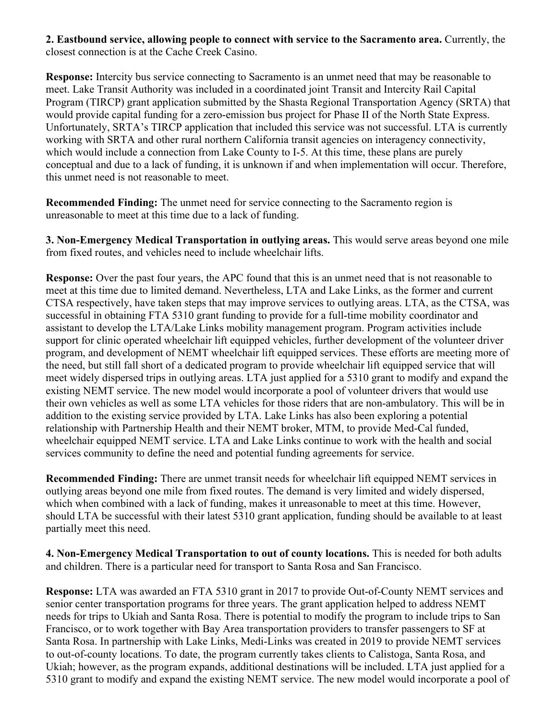**2. Eastbound service, allowing people to connect with service to the Sacramento area.** Currently, the closest connection is at the Cache Creek Casino.

**Response:** Intercity bus service connecting to Sacramento is an unmet need that may be reasonable to meet. Lake Transit Authority was included in a coordinated joint Transit and Intercity Rail Capital Program (TIRCP) grant application submitted by the Shasta Regional Transportation Agency (SRTA) that would provide capital funding for a zero-emission bus project for Phase II of the North State Express. Unfortunately, SRTA's TIRCP application that included this service was not successful. LTA is currently working with SRTA and other rural northern California transit agencies on interagency connectivity, which would include a connection from Lake County to I-5. At this time, these plans are purely conceptual and due to a lack of funding, it is unknown if and when implementation will occur. Therefore, this unmet need is not reasonable to meet.

**Recommended Finding:** The unmet need for service connecting to the Sacramento region is unreasonable to meet at this time due to a lack of funding.

**3. Non-Emergency Medical Transportation in outlying areas.** This would serve areas beyond one mile from fixed routes, and vehicles need to include wheelchair lifts.

**Response:** Over the past four years, the APC found that this is an unmet need that is not reasonable to meet at this time due to limited demand. Nevertheless, LTA and Lake Links, as the former and current CTSA respectively, have taken steps that may improve services to outlying areas. LTA, as the CTSA, was successful in obtaining FTA 5310 grant funding to provide for a full-time mobility coordinator and assistant to develop the LTA/Lake Links mobility management program. Program activities include support for clinic operated wheelchair lift equipped vehicles, further development of the volunteer driver program, and development of NEMT wheelchair lift equipped services. These efforts are meeting more of the need, but still fall short of a dedicated program to provide wheelchair lift equipped service that will meet widely dispersed trips in outlying areas. LTA just applied for a 5310 grant to modify and expand the existing NEMT service. The new model would incorporate a pool of volunteer drivers that would use their own vehicles as well as some LTA vehicles for those riders that are non-ambulatory. This will be in addition to the existing service provided by LTA. Lake Links has also been exploring a potential relationship with Partnership Health and their NEMT broker, MTM, to provide Med-Cal funded, wheelchair equipped NEMT service. LTA and Lake Links continue to work with the health and social services community to define the need and potential funding agreements for service.

**Recommended Finding:** There are unmet transit needs for wheelchair lift equipped NEMT services in outlying areas beyond one mile from fixed routes. The demand is very limited and widely dispersed, which when combined with a lack of funding, makes it unreasonable to meet at this time. However, should LTA be successful with their latest 5310 grant application, funding should be available to at least partially meet this need.

**4. Non-Emergency Medical Transportation to out of county locations.** This is needed for both adults and children. There is a particular need for transport to Santa Rosa and San Francisco.

**Response:** LTA was awarded an FTA 5310 grant in 2017 to provide Out-of-County NEMT services and senior center transportation programs for three years. The grant application helped to address NEMT needs for trips to Ukiah and Santa Rosa. There is potential to modify the program to include trips to San Francisco, or to work together with Bay Area transportation providers to transfer passengers to SF at Santa Rosa. In partnership with Lake Links, Medi-Links was created in 2019 to provide NEMT services to out-of-county locations. To date, the program currently takes clients to Calistoga, Santa Rosa, and Ukiah; however, as the program expands, additional destinations will be included. LTA just applied for a 5310 grant to modify and expand the existing NEMT service. The new model would incorporate a pool of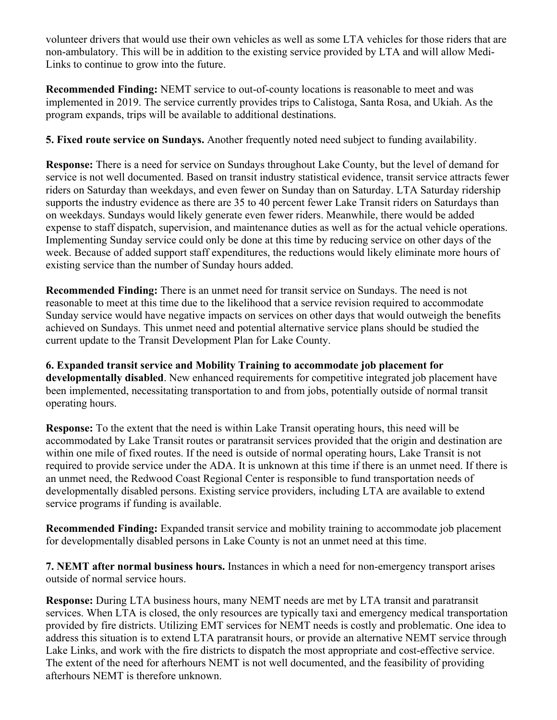volunteer drivers that would use their own vehicles as well as some LTA vehicles for those riders that are non-ambulatory. This will be in addition to the existing service provided by LTA and will allow Medi-Links to continue to grow into the future.

**Recommended Finding:** NEMT service to out-of-county locations is reasonable to meet and was implemented in 2019. The service currently provides trips to Calistoga, Santa Rosa, and Ukiah. As the program expands, trips will be available to additional destinations.

**5. Fixed route service on Sundays.** Another frequently noted need subject to funding availability.

**Response:** There is a need for service on Sundays throughout Lake County, but the level of demand for service is not well documented. Based on transit industry statistical evidence, transit service attracts fewer riders on Saturday than weekdays, and even fewer on Sunday than on Saturday. LTA Saturday ridership supports the industry evidence as there are 35 to 40 percent fewer Lake Transit riders on Saturdays than on weekdays. Sundays would likely generate even fewer riders. Meanwhile, there would be added expense to staff dispatch, supervision, and maintenance duties as well as for the actual vehicle operations. Implementing Sunday service could only be done at this time by reducing service on other days of the week. Because of added support staff expenditures, the reductions would likely eliminate more hours of existing service than the number of Sunday hours added.

**Recommended Finding:** There is an unmet need for transit service on Sundays. The need is not reasonable to meet at this time due to the likelihood that a service revision required to accommodate Sunday service would have negative impacts on services on other days that would outweigh the benefits achieved on Sundays. This unmet need and potential alternative service plans should be studied the current update to the Transit Development Plan for Lake County.

**6. Expanded transit service and Mobility Training to accommodate job placement for developmentally disabled**. New enhanced requirements for competitive integrated job placement have been implemented, necessitating transportation to and from jobs, potentially outside of normal transit operating hours.

**Response:** To the extent that the need is within Lake Transit operating hours, this need will be accommodated by Lake Transit routes or paratransit services provided that the origin and destination are within one mile of fixed routes. If the need is outside of normal operating hours, Lake Transit is not required to provide service under the ADA. It is unknown at this time if there is an unmet need. If there is an unmet need, the Redwood Coast Regional Center is responsible to fund transportation needs of developmentally disabled persons. Existing service providers, including LTA are available to extend service programs if funding is available.

**Recommended Finding:** Expanded transit service and mobility training to accommodate job placement for developmentally disabled persons in Lake County is not an unmet need at this time.

**7. NEMT after normal business hours.** Instances in which a need for non-emergency transport arises outside of normal service hours.

**Response:** During LTA business hours, many NEMT needs are met by LTA transit and paratransit services. When LTA is closed, the only resources are typically taxi and emergency medical transportation provided by fire districts. Utilizing EMT services for NEMT needs is costly and problematic. One idea to address this situation is to extend LTA paratransit hours, or provide an alternative NEMT service through Lake Links, and work with the fire districts to dispatch the most appropriate and cost-effective service. The extent of the need for afterhours NEMT is not well documented, and the feasibility of providing afterhours NEMT is therefore unknown.